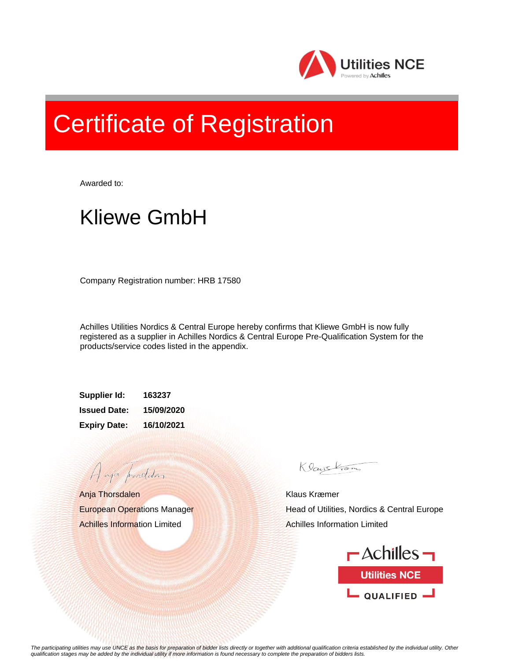

## Certificate of Registration

Awarded to:

## Kliewe GmbH

Company Registration number: HRB 17580

Achilles Utilities Nordics & Central Europe hereby confirms that Kliewe GmbH is now fully registered as a supplier in Achilles Nordics & Central Europe Pre-Qualification System for the products/service codes listed in the appendix.

**Supplier Id: 163237 Issued Date: 15/09/2020 Expiry Date: 16/10/2021**

Anja Thorsdalen European Operations Manager Achilles Information Limited

A aja providdan

Klauskam

Klaus Kræmer Head of Utilities, Nordics & Central Europe Achilles Information Limited



*The participating utilities may use UNCE as the basis for preparation of bidder lists directly or together with additional qualification criteria established by the individual utility. Other qualification stages may be added by the individual utility if more information is found necessary to complete the preparation of bidders lists.*